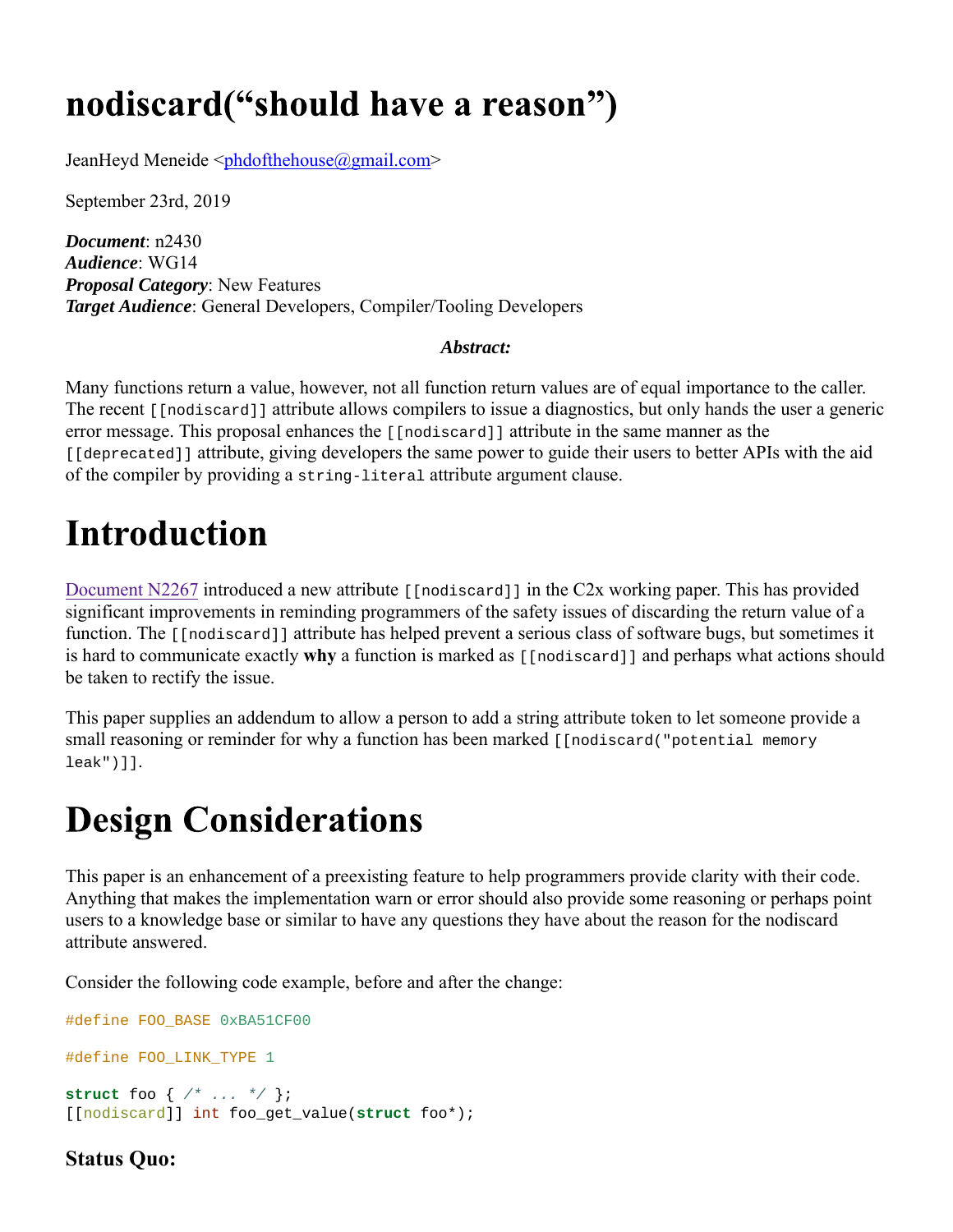### nodiscard("should have a reason")

JeanHeyd Meneide <phdofthehouse@gmail.com>

September 23rd, 2019

*Document*: n2430 *Audience*: WG14 *Proposal Category*: New Features *Target Audience*: General Developers, Compiler/Tooling Developers

#### *Abstract:*

Many functions return a value, however, not all function return values are of equal importance to the caller. The recent [[nodiscard]] attribute allows compilers to issue a diagnostics, but only hands the user a generic error message. This proposal enhances the [[nodiscard]] attribute in the same manner as the [[deprecated]] attribute, giving developers the same power to guide their users to better APIs with the aid of the compiler by providing a string-literal attribute argument clause.

## **Introduction**

Document N2267 introduced a new attribute [[nodiscard]] in the C2x working paper. This has provided significant improvements in reminding programmers of the safety issues of discarding the return value of a function. The [[nodiscard]] attribute has helped prevent a serious class of software bugs, but sometimes it is hard to communicate exactly **why** a function is marked as [[nodiscard]] and perhaps what actions should be taken to rectify the issue.

This paper supplies an addendum to allow a person to add a string attribute token to let someone provide a small reasoning or reminder for why a function has been marked [[nodiscard("potential memory leak")]].

### **Design Considerations**

This paper is an enhancement of a preexisting feature to help programmers provide clarity with their code. Anything that makes the implementation warn or error should also provide some reasoning or perhaps point users to a knowledge base or similar to have any questions they have about the reason for the nodiscard attribute answered.

Consider the following code example, before and after the change:

```
#define FOO_BASE 0xBA51CF00
#define FOO_LINK_TYPE 1
struct foo { /* ... */ };
[[nodiscard]] int foo_get_value(struct foo*);
```
### **Status Quo:**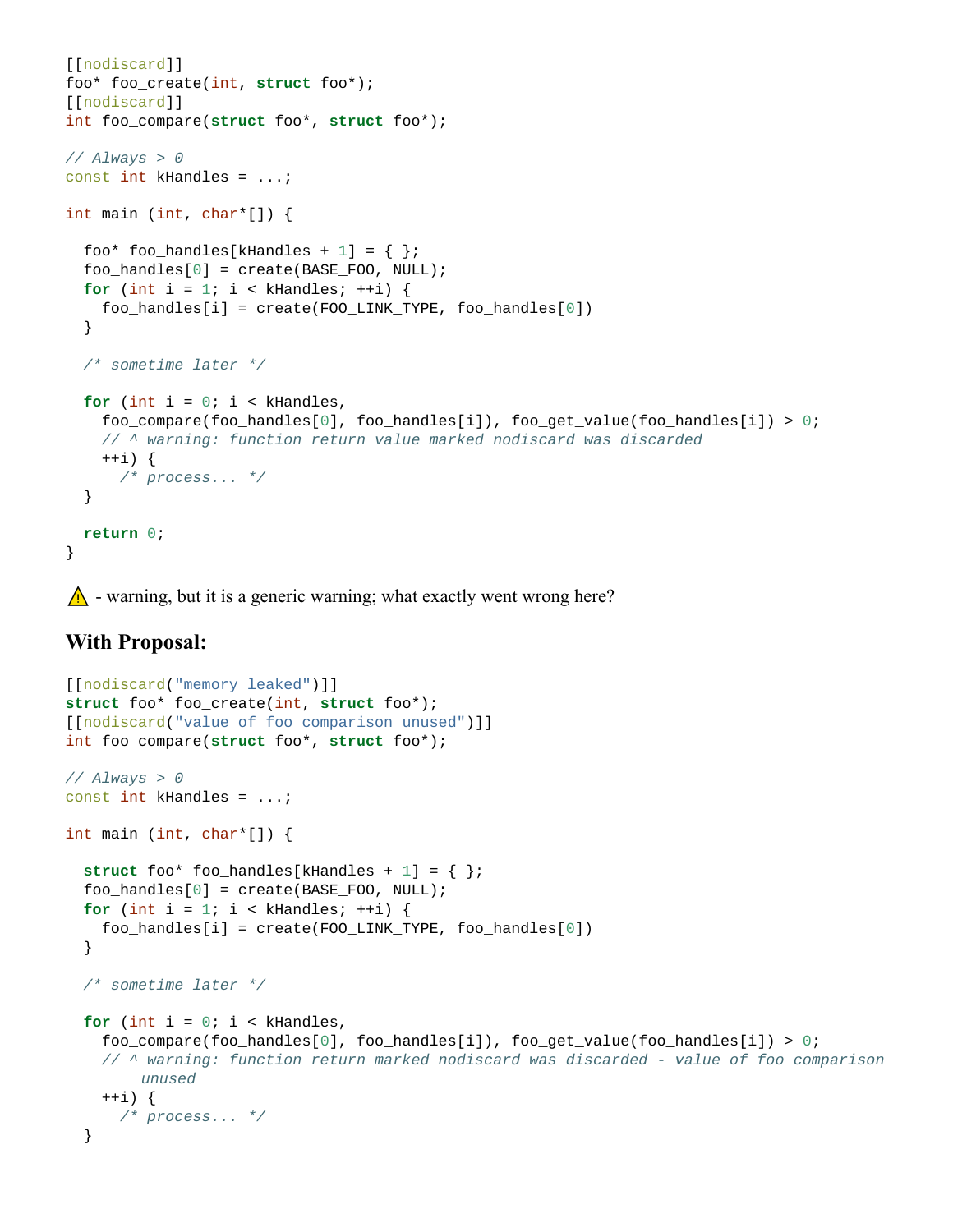```
[[nodiscard]] 
foo* foo_create(int, struct foo*);
[[nodiscard]] 
int foo_compare(struct foo*, struct foo*);
// Always > 0
const int kHandles = ...;
int main (int, char*[]) {
  foo* foo_handles[kHandles + 1] = \{\};
  foo\_handles[0] = create(BASE_FOO, NULL);for (int i = 1; i < kHandles; ++i) {
     foo_handles[i] = create(FOO_LINK_TYPE, foo_handles[0])
   }
  /* sometime later */
  for (int i = 0; i < kHandles, 
     foo_compare(foo_handles[0], foo_handles[i]), foo_get_value(foo_handles[i]) > 0; 
    // ^ warning: function return value marked nodiscard was discarded
     ++i) {
      /* process... */
   }
  return 0;
}
```
 $\bigwedge$  - warning, but it is a generic warning; what exactly went wrong here?

#### **With Proposal:**

```
[[nodiscard("memory leaked")]] 
struct foo* foo_create(int, struct foo*);
[[nodiscard("value of foo comparison unused")]] 
int foo_compare(struct foo*, struct foo*);
// Always > 0
const int kHandles = ...;
int main (int, char*[]) {
  struct foo* foo_handles[kHandles + 1] = { };
  foo\_handles[0] = create(BASE_FOO, NULL);for (int i = 1; i < kHandles; ++i) {
     foo_handles[i] = create(FOO_LINK_TYPE, foo_handles[0])
   }
  /* sometime later */
  for (int i = 0; i < k Handles,
     foo_compare(foo_handles[0], foo_handles[i]), foo_get_value(foo_handles[i]) > 0; 
    // ^ warning: function return marked nodiscard was discarded - value of foo comparison 
        unused
    ++i) {
      /* process... */
   }
```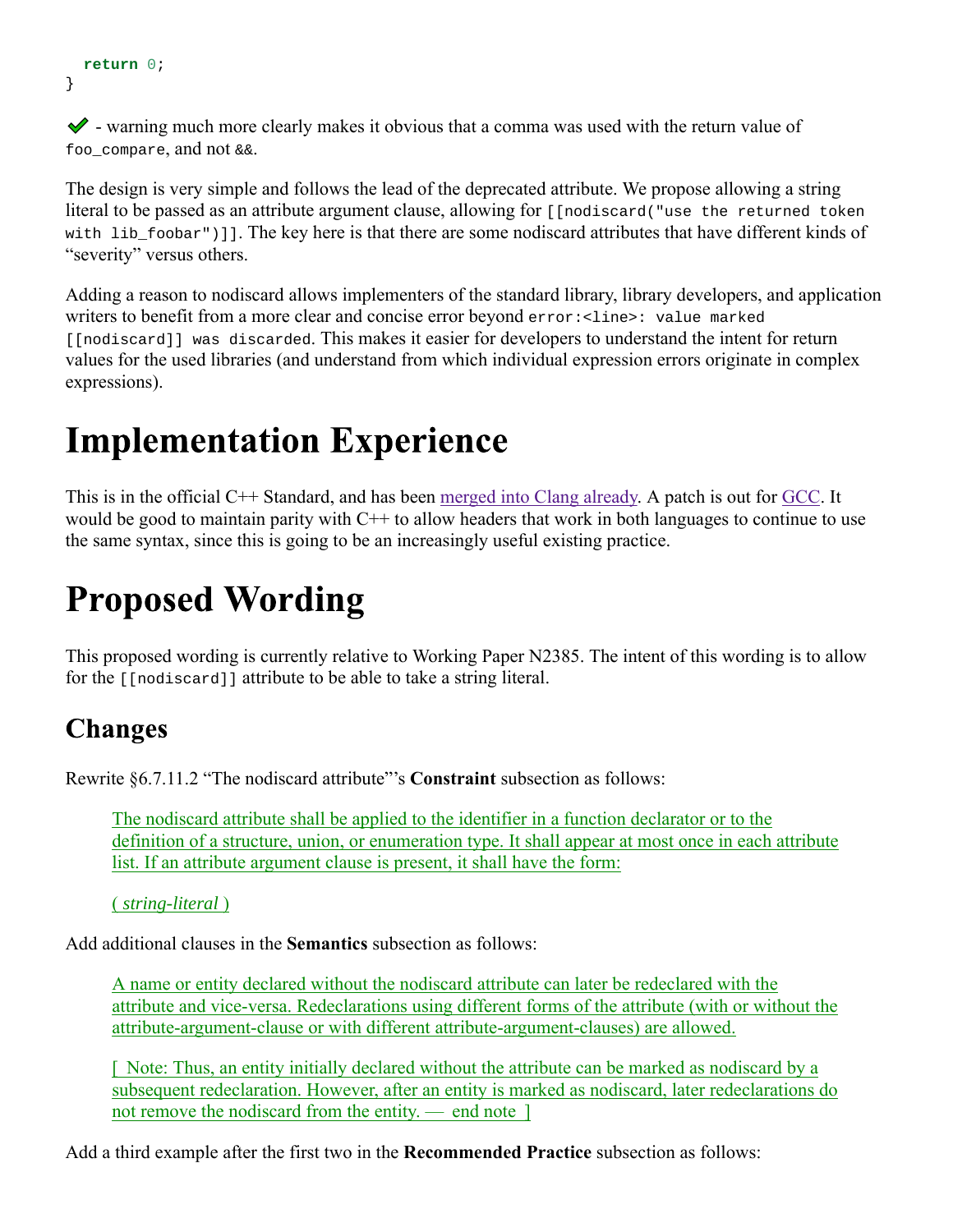```
return 0;
}
```
 $\blacktriangleright$  - warning much more clearly makes it obvious that a comma was used with the return value of foo compare, and not  $&\&\&$ .

The design is very simple and follows the lead of the deprecated attribute. We propose allowing a string literal to be passed as an attribute argument clause, allowing for [[nodiscard("use the returned token with lib  $foobar'$ )]. The key here is that there are some nodiscard attributes that have different kinds of "severity" versus others.

Adding a reason to nodiscard allows implementers of the standard library, library developers, and application writers to benefit from a more clear and concise error beyond error:<line>: value marked [[nodiscard]] was discarded. This makes it easier for developers to understand the intent for return values for the used libraries (and understand from which individual expression errors originate in complex expressions).

### **Implementation Experience**

This is in the official C++ Standard, and has been merged into Clang already. A patch is out for GCC. It would be good to maintain parity with C++ to allow headers that work in both languages to continue to use the same syntax, since this is going to be an increasingly useful existing practice.

# **Proposed Wording**

This proposed wording is currently relative to Working Paper N2385. The intent of this wording is to allow for the [[nodiscard]] attribute to be able to take a string literal.

### **Changes**

Rewrite §6.7.11.2 "The nodiscard attribute"'s **Constraint** subsection as follows:

The nodiscard attribute shall be applied to the identifier in a function declarator or to the definition of a structure, union, or enumeration type. It shall appear at most once in each attribute list. If an attribute argument clause is present, it shall have the form:

( *string-literal* )

Add additional clauses in the **Semantics** subsection as follows:

A name or entity declared without the nodiscard attribute can later be redeclared with the attribute and vice-versa. Redeclarations using different forms of the attribute (with or without the attribute-argument-clause or with different attribute-argument-clauses) are allowed.

[  Note: Thus, an entity initially declared without the attribute can be marked as nodiscard by a subsequent redeclaration. However, after an entity is marked as nodiscard, later redeclarations do not remove the nodiscard from the entity. — end note <sup>1</sup>

Add a third example after the first two in the **Recommended Practice** subsection as follows: